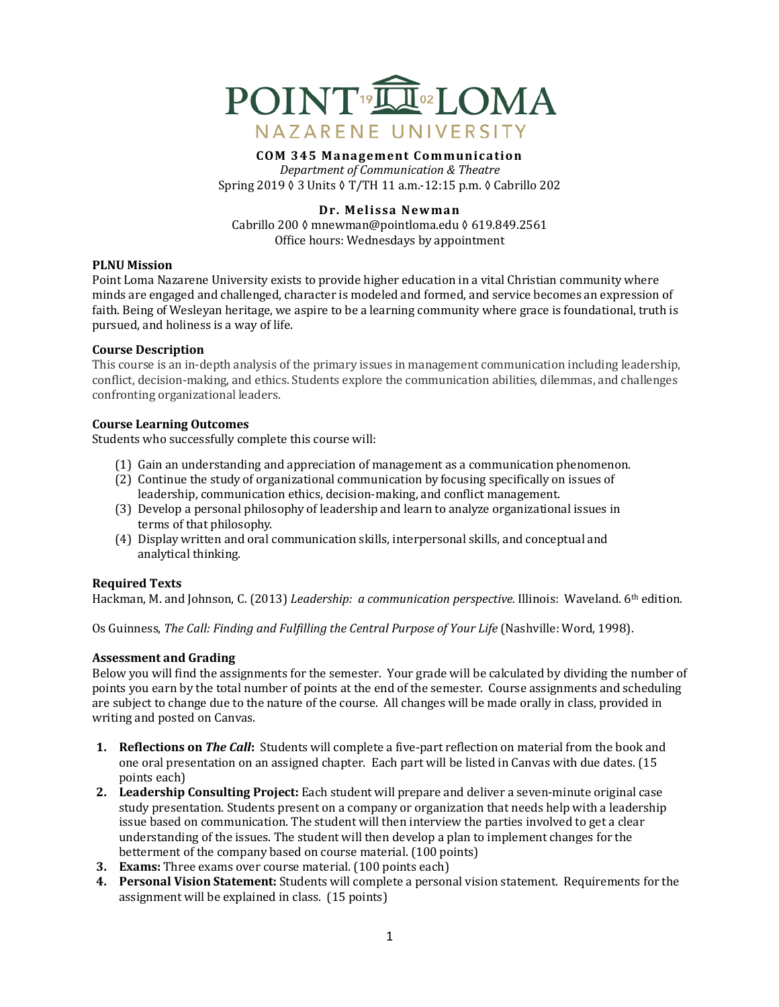

### **COM 345 Management Communication** *Department of Communication & Theatre* Spring 2019 ♦ 3 Units ♦ T/TH 11 a.m.-12:15 p.m. ♦ Cabrillo 202

## **Dr. Melissa Newman**

Cabrillo 200 ≬ mnewman@pointloma.edu § 619.849.2561 Office hours: Wednesdays by appointment

## **PLNU** Mission

Point Loma Nazarene University exists to provide higher education in a vital Christian community where minds are engaged and challenged, character is modeled and formed, and service becomes an expression of faith. Being of Wesleyan heritage, we aspire to be a learning community where grace is foundational, truth is pursued, and holiness is a way of life.

## **Course Description**

This course is an in-depth analysis of the primary issues in management communication including leadership, conflict, decision-making, and ethics. Students explore the communication abilities, dilemmas, and challenges confronting organizational leaders.

## **Course Learning Outcomes**

Students who successfully complete this course will:

- (1) Gain an understanding and appreciation of management as a communication phenomenon.
- (2) Continue the study of organizational communication by focusing specifically on issues of leadership, communication ethics, decision-making, and conflict management.
- (3) Develop a personal philosophy of leadership and learn to analyze organizational issues in terms of that philosophy.
- (4) Display written and oral communication skills, interpersonal skills, and conceptual and analytical thinking.

## **Required Texts**

Hackman, M. and Johnson, C. (2013) *Leadership: a communication perspective.* Illinois: Waveland. 6<sup>th</sup> edition.

Os Guinness, *The Call: Finding and Fulfilling the Central Purpose of Your Life* (Nashville: Word, 1998).

## **Assessment and Grading**

Below you will find the assignments for the semester. Your grade will be calculated by dividing the number of points you earn by the total number of points at the end of the semester. Course assignments and scheduling are subject to change due to the nature of the course. All changes will be made orally in class, provided in writing and posted on Canvas.

- **1. Reflections on** *The Call*: Students will complete a five-part reflection on material from the book and one oral presentation on an assigned chapter. Each part will be listed in Canvas with due dates. (15 points each)
- **2.** Leadership Consulting Project: Each student will prepare and deliver a seven-minute original case study presentation. Students present on a company or organization that needs help with a leadership issue based on communication. The student will then interview the parties involved to get a clear understanding of the issues. The student will then develop a plan to implement changes for the betterment of the company based on course material. (100 points)
- **3. Exams:** Three exams over course material. (100 points each)
- **4. Personal Vision Statement:** Students will complete a personal vision statement. Requirements for the assignment will be explained in class. (15 points)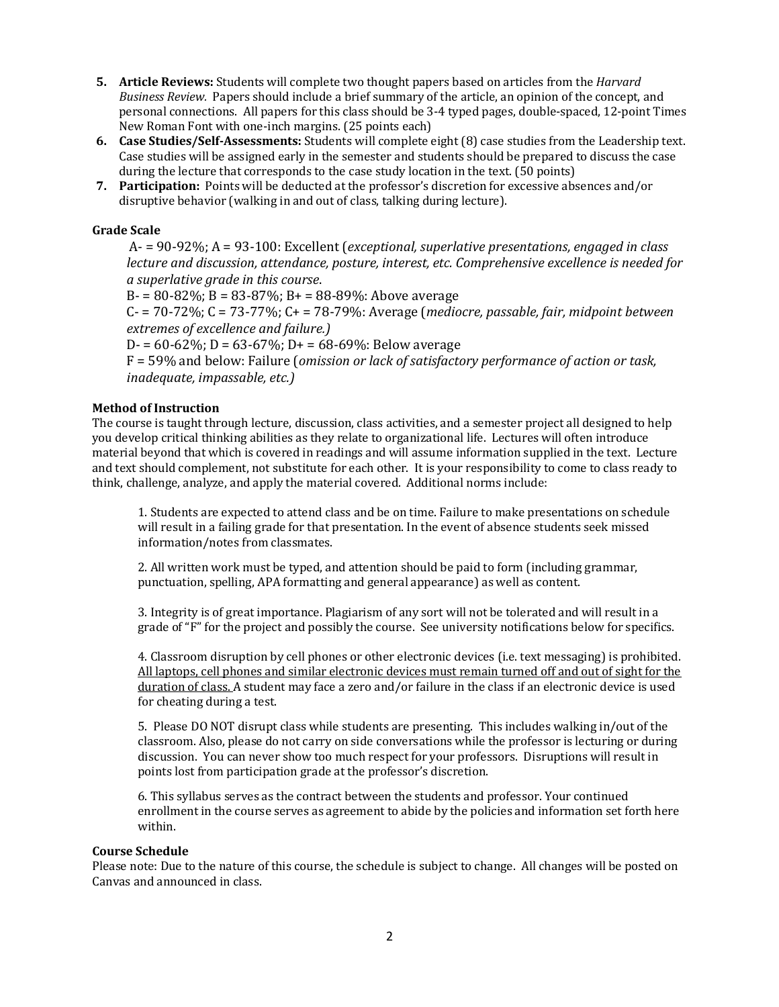- **5.** Article Reviews: Students will complete two thought papers based on articles from the *Harvard Business Review.* Papers should include a brief summary of the article, an opinion of the concept, and personal connections. All papers for this class should be 3-4 typed pages, double-spaced, 12-point Times New Roman Font with one-inch margins. (25 points each)
- **6. Case Studies/Self-Assessments:** Students will complete eight (8) case studies from the Leadership text. Case studies will be assigned early in the semester and students should be prepared to discuss the case during the lecture that corresponds to the case study location in the text. (50 points)
- **7.** Participation: Points will be deducted at the professor's discretion for excessive absences and/or disruptive behavior (walking in and out of class, talking during lecture).

# **Grade Scale**

A- =  $90-92\%$ ; A =  $93-100$ : Excellent (*exceptional, superlative presentations, engaged in class lecture and discussion, attendance, posture, interest, etc. Comprehensive excellence is needed for a superlative grade in this course*.

 $B = 80 - 82\%$ ;  $B = 83 - 87\%$ ;  $B = 88 - 89\%$ : Above average

 $C = 70-72\%$ ;  $C = 73-77\%$ ;  $C = 78-79\%$ : Average (*mediocre, passable, fair, midpoint between extremes of excellence and failure.)*

 $D = 60-62\%$ ;  $D = 63-67\%$ ;  $D = 68-69\%$ ; Below average

F = 59% and below: Failure (*omission or lack of satisfactory performance of action or task, inadequate, impassable, etc.)* 

# **Method of Instruction**

The course is taught through lecture, discussion, class activities, and a semester project all designed to help you develop critical thinking abilities as they relate to organizational life. Lectures will often introduce material beyond that which is covered in readings and will assume information supplied in the text. Lecture and text should complement, not substitute for each other. It is your responsibility to come to class ready to think, challenge, analyze, and apply the material covered. Additional norms include:

1. Students are expected to attend class and be on time. Failure to make presentations on schedule will result in a failing grade for that presentation. In the event of absence students seek missed information/notes from classmates.

2. All written work must be typed, and attention should be paid to form (including grammar, punctuation, spelling, APA formatting and general appearance) as well as content.

3. Integrity is of great importance. Plagiarism of any sort will not be tolerated and will result in a grade of " $F''$  for the project and possibly the course. See university notifications below for specifics.

4. Classroom disruption by cell phones or other electronic devices (i.e. text messaging) is prohibited. All laptops, cell phones and similar electronic devices must remain turned off and out of sight for the duration of class. A student may face a zero and/or failure in the class if an electronic device is used for cheating during a test.

5. Please DO NOT disrupt class while students are presenting. This includes walking in/out of the classroom. Also, please do not carry on side conversations while the professor is lecturing or during discussion. You can never show too much respect for your professors. Disruptions will result in points lost from participation grade at the professor's discretion.

6. This syllabus serves as the contract between the students and professor. Your continued enrollment in the course serves as agreement to abide by the policies and information set forth here within. 

## **Course Schedule**

Please note: Due to the nature of this course, the schedule is subject to change. All changes will be posted on Canvas and announced in class.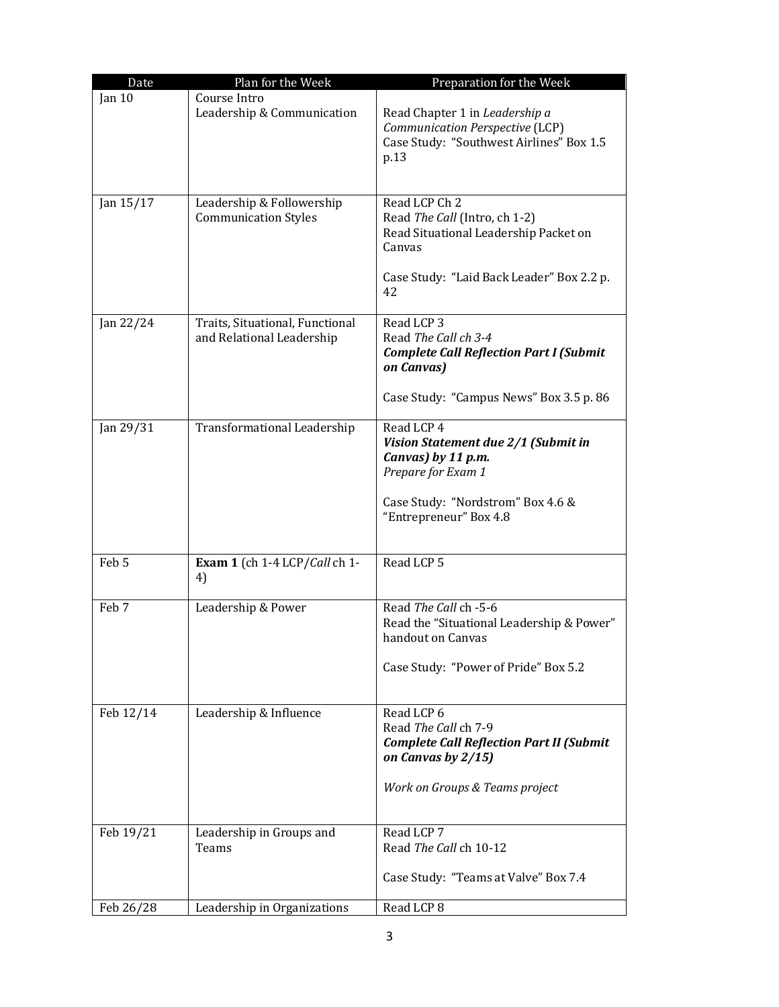| Date      | Plan for the Week                                            | Preparation for the Week                                                                                                                                     |
|-----------|--------------------------------------------------------------|--------------------------------------------------------------------------------------------------------------------------------------------------------------|
| Jan 10    | Course Intro<br>Leadership & Communication                   | Read Chapter 1 in Leadership a<br>Communication Perspective (LCP)<br>Case Study: "Southwest Airlines" Box 1.5<br>p.13                                        |
| Jan 15/17 | Leadership & Followership<br><b>Communication Styles</b>     | Read LCP Ch 2<br>Read The Call (Intro, ch 1-2)<br>Read Situational Leadership Packet on<br>Canvas<br>Case Study: "Laid Back Leader" Box 2.2 p.<br>42         |
| Jan 22/24 | Traits, Situational, Functional<br>and Relational Leadership | Read LCP 3<br>Read The Call ch 3-4<br><b>Complete Call Reflection Part I (Submit</b><br>on Canvas)<br>Case Study: "Campus News" Box 3.5 p. 86                |
| Jan 29/31 | <b>Transformational Leadership</b>                           | Read LCP 4<br>Vision Statement due 2/1 (Submit in<br>Canvas) by 11 p.m.<br>Prepare for Exam 1<br>Case Study: "Nordstrom" Box 4.6 &<br>"Entrepreneur" Box 4.8 |
| Feb 5     | Exam 1 (ch 1-4 LCP/Call ch 1-<br>4)                          | Read LCP 5                                                                                                                                                   |
| Feb 7     | Leadership & Power                                           | Read The Call ch -5-6<br>Read the "Situational Leadership & Power"<br>handout on Canvas<br>Case Study: "Power of Pride" Box 5.2                              |
| Feb 12/14 | Leadership & Influence                                       | Read LCP 6<br>Read The Call ch 7-9<br><b>Complete Call Reflection Part II (Submit</b><br>on Canvas by 2/15)<br>Work on Groups & Teams project                |
| Feb 19/21 | Leadership in Groups and<br>Teams                            | Read LCP 7<br>Read The Call ch 10-12<br>Case Study: "Teams at Valve" Box 7.4                                                                                 |
| Feb 26/28 | Leadership in Organizations                                  | Read LCP 8                                                                                                                                                   |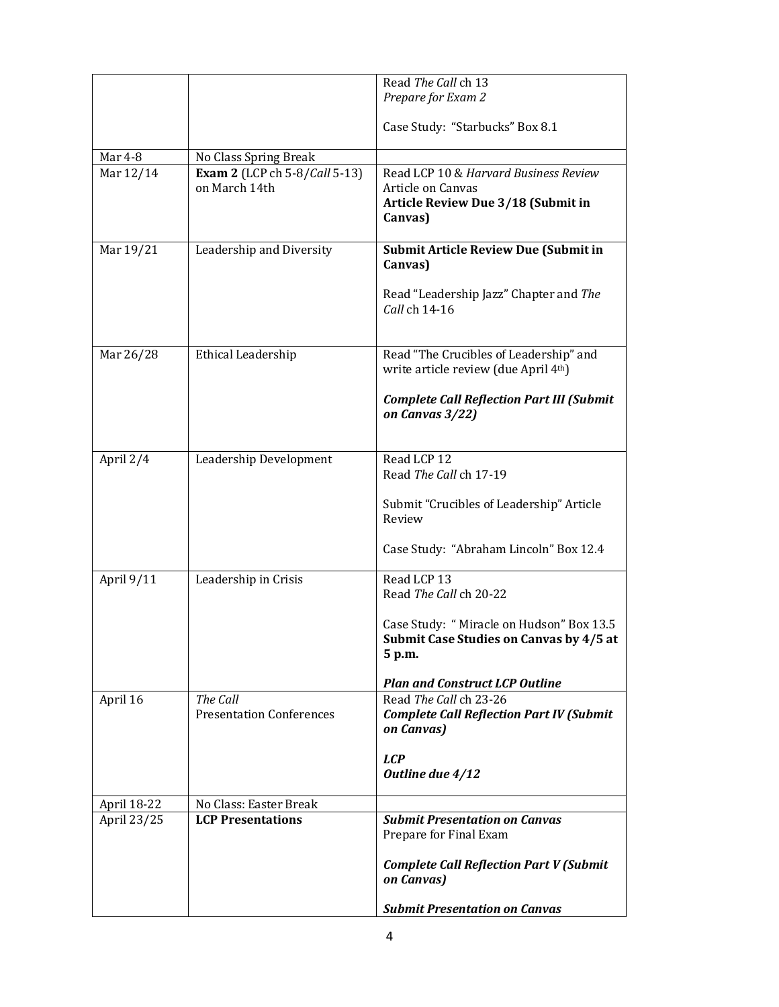|                |                                      | Read The Call ch 13                                             |
|----------------|--------------------------------------|-----------------------------------------------------------------|
|                |                                      | Prepare for Exam 2                                              |
|                |                                      |                                                                 |
|                |                                      | Case Study: "Starbucks" Box 8.1                                 |
| <b>Mar 4-8</b> | No Class Spring Break                |                                                                 |
| Mar 12/14      | <b>Exam 2</b> (LCP ch 5-8/Call 5-13) | Read LCP 10 & Harvard Business Review                           |
|                | on March 14th                        | Article on Canvas                                               |
|                |                                      | Article Review Due 3/18 (Submit in                              |
|                |                                      | Canvas)                                                         |
| Mar 19/21      | Leadership and Diversity             | <b>Submit Article Review Due (Submit in</b>                     |
|                |                                      | Canvas)                                                         |
|                |                                      |                                                                 |
|                |                                      | Read "Leadership Jazz" Chapter and The<br>Call ch 14-16         |
|                |                                      |                                                                 |
|                |                                      |                                                                 |
| Mar 26/28      | Ethical Leadership                   | Read "The Crucibles of Leadership" and                          |
|                |                                      | write article review (due April 4th)                            |
|                |                                      | <b>Complete Call Reflection Part III (Submit</b>                |
|                |                                      | on Canvas 3/22)                                                 |
|                |                                      |                                                                 |
| April 2/4      | Leadership Development               | Read LCP 12                                                     |
|                |                                      | Read The Call ch 17-19                                          |
|                |                                      |                                                                 |
|                |                                      | Submit "Crucibles of Leadership" Article<br>Review              |
|                |                                      |                                                                 |
|                |                                      | Case Study: "Abraham Lincoln" Box 12.4                          |
| April 9/11     | Leadership in Crisis                 | Read LCP 13                                                     |
|                |                                      | Read The Call ch 20-22                                          |
|                |                                      | Case Study: "Miracle on Hudson" Box 13.5                        |
|                |                                      | Submit Case Studies on Canvas by 4/5 at                         |
|                |                                      | 5 p.m.                                                          |
|                |                                      |                                                                 |
| April 16       | The Call                             | <b>Plan and Construct LCP Outline</b><br>Read The Call ch 23-26 |
|                | <b>Presentation Conferences</b>      | <b>Complete Call Reflection Part IV (Submit</b>                 |
|                |                                      | on Canvas)                                                      |
|                |                                      |                                                                 |
|                |                                      | <b>LCP</b><br>Outline due 4/12                                  |
|                |                                      |                                                                 |
| April 18-22    | No Class: Easter Break               |                                                                 |
| April 23/25    | <b>LCP Presentations</b>             | <b>Submit Presentation on Canvas</b>                            |
|                |                                      | Prepare for Final Exam                                          |
|                |                                      | <b>Complete Call Reflection Part V (Submit</b>                  |
|                |                                      | on Canvas)                                                      |
|                |                                      |                                                                 |
|                |                                      | <b>Submit Presentation on Canvas</b>                            |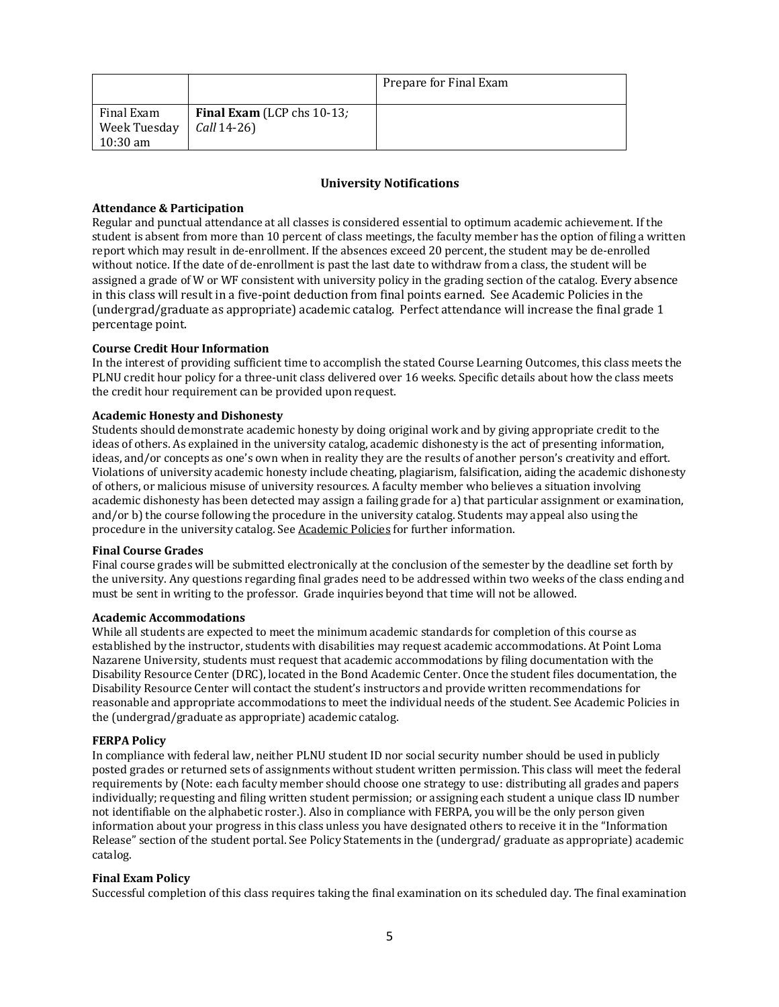|                                                                            |                                   | Prepare for Final Exam |
|----------------------------------------------------------------------------|-----------------------------------|------------------------|
| Final Exam<br>Week Tuesday $\int$ <i>Call</i> 14-26)<br>$10:30 \text{ am}$ | <b>Final Exam</b> (LCP chs 10-13; |                        |

### **University Notifications**

### **Attendance & Participation**

Regular and punctual attendance at all classes is considered essential to optimum academic achievement. If the student is absent from more than 10 percent of class meetings, the faculty member has the option of filing a written report which may result in de-enrollment. If the absences exceed 20 percent, the student may be de-enrolled without notice. If the date of de-enrollment is past the last date to withdraw from a class, the student will be assigned a grade of W or WF consistent with university policy in the grading section of the catalog. Every absence in this class will result in a five-point deduction from final points earned. See Academic Policies in the (undergrad/graduate as appropriate) academic catalog. Perfect attendance will increase the final grade 1 percentage point.

### **Course Credit Hour Information**

In the interest of providing sufficient time to accomplish the stated Course Learning Outcomes, this class meets the PLNU credit hour policy for a three-unit class delivered over 16 weeks. Specific details about how the class meets the credit hour requirement can be provided upon request.

### **Academic Honesty and Dishonesty**

Students should demonstrate academic honesty by doing original work and by giving appropriate credit to the ideas of others. As explained in the university catalog, academic dishonesty is the act of presenting information, ideas, and/or concepts as one's own when in reality they are the results of another person's creativity and effort. Violations of university academic honesty include cheating, plagiarism, falsification, aiding the academic dishonesty of others, or malicious misuse of university resources. A faculty member who believes a situation involving academic dishonesty has been detected may assign a failing grade for a) that particular assignment or examination, and/or b) the course following the procedure in the university catalog. Students may appeal also using the procedure in the university catalog. See Academic Policies for further information.

### **Final Course Grades**

Final course grades will be submitted electronically at the conclusion of the semester by the deadline set forth by the university. Any questions regarding final grades need to be addressed within two weeks of the class ending and must be sent in writing to the professor. Grade inquiries beyond that time will not be allowed.

### **Academic Accommodations**

While all students are expected to meet the minimum academic standards for completion of this course as established by the instructor, students with disabilities may request academic accommodations. At Point Loma Nazarene University, students must request that academic accommodations by filing documentation with the Disability Resource Center (DRC), located in the Bond Academic Center. Once the student files documentation, the Disability Resource Center will contact the student's instructors and provide written recommendations for reasonable and appropriate accommodations to meet the individual needs of the student. See Academic Policies in the (undergrad/graduate as appropriate) academic catalog.

### **FERPA Policy**

In compliance with federal law, neither PLNU student ID nor social security number should be used in publicly posted grades or returned sets of assignments without student written permission. This class will meet the federal requirements by (Note: each faculty member should choose one strategy to use: distributing all grades and papers individually; requesting and filing written student permission; or assigning each student a unique class ID number not identifiable on the alphabetic roster.). Also in compliance with FERPA, you will be the only person given information about your progress in this class unless you have designated others to receive it in the "Information Release" section of the student portal. See Policy Statements in the (undergrad/ graduate as appropriate) academic catalog. 

### **Final Exam Policy**

Successful completion of this class requires taking the final examination on its scheduled day. The final examination